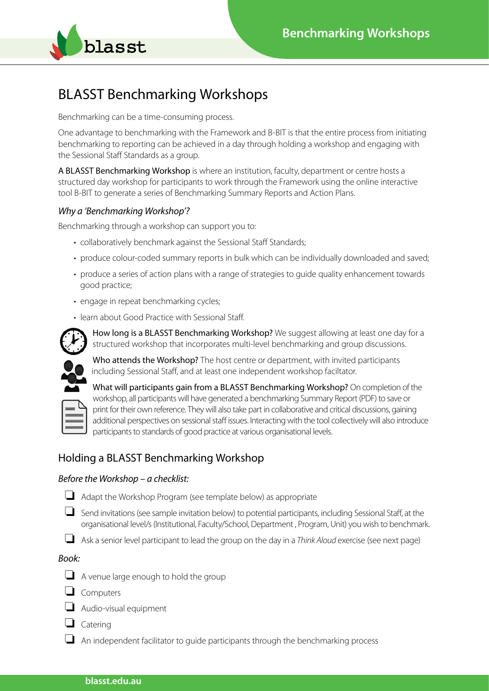

# BLASST Benchmarking Workshops

Benchmarking can be a time-consuming process.

One advantage to benchmarking with the Framework and B-BIT is that the entire process from initiating benchmarking to reporting can be achieved in a day through holding a workshop and engaging with the Sessional Staff Standards as a group.

A BLASST Benchmarking Workshop is where an institution, faculty, department or centre hosts a structured day workshop for participants to work through the Framework using the online interactive tool B-BIT to generate a series of Benchmarking Summary Reports and Action Plans.

## *Why a 'Benchmarking Workshop'?*

Benchmarking through a workshop can support you to:

- collaboratively benchmark against the Sessional Staff Standards;
- produce colour-coded summary reports in bulk which can be individually downloaded and saved:
- produce a series of action plans with a range of strategies to quide quality enhancement towards good practice;
- engage in repeat benchmarking cycles:
- learn about Good Practice with Sessional Staff.



How long is a BLASST Benchmarking Workshop? We suggest allowing at least one day for a structured workshop that incorporates multi-level benchmarking and group discussions.

Who attends the Workshop? The host centre or department, with invited participants including Sessional Staff, and at least one independent workshop faciltator.



## Holding a BLASST Benchmarking Workshop

## *Before the Workshop – a checklist:*

- $\Box$  Adapt the Workshop Program (see template below) as appropriate
- $\Box$  Send invitations (see sample invitation below) to potential participants, including Sessional Staff, at the organisational level/s (Institutional, Faculty/School, Department , Program, Unit) you wish to benchmark.

o Ask a senior level participant to lead the group on the day in a *Think Aloud* exercise (see next page)

## *Book:*

- $\Box$  A venue large enough to hold the group
- $\Box$  Computers
- $\Box$  Audio-visual equipment
- $\Box$  Catering
- $\Box$  An independent facilitator to guide participants through the benchmarking process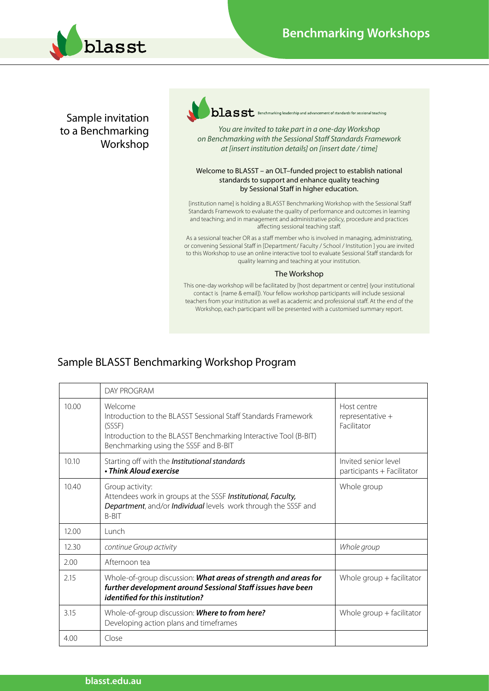

Sample invitation to a Benchmarking Workshop  $\rm{halas}$  S $\rm{t}$  Benchmarking leadership and advancement of standards for sessional teaching

*You are invited to take part in a one-day Workshop on Benchmarking with the Sessional Staff Standards Framework at [insert institution details] on [insert date / time]*

#### Welcome to BLASST – an OLT–funded project to establish national standards to support and enhance quality teaching by Sessional Staff in higher education.

 [institution name] is holding a BLASST Benchmarking Workshop with the Sessional Staff Standards Framework to evaluate the quality of performance and outcomes in learning and teaching; and in management and administrative policy, procedure and practices affecting sessional teaching staff.

As a sessional teacher OR as a staff member who is involved in managing, administrating, or convening Sessional Staff in [Department/ Faculty / School / Institution ] you are invited to this Workshop to use an online interactive tool to evaluate Sessional Staff standards for quality learning and teaching at your institution.

#### The Workshop

This one-day workshop will be facilitated by [host department or centre] (your institutional contact is [name & email]). Your fellow workshop participants will include sessional teachers from your institution as well as academic and professional staff. At the end of the Workshop, each participant will be presented with a customised summary report.

## Sample BLASST Benchmarking Workshop Program

|       | DAY PROGRAM                                                                                                                                                                                      |                                                    |
|-------|--------------------------------------------------------------------------------------------------------------------------------------------------------------------------------------------------|----------------------------------------------------|
| 10.00 | Welcome<br>Introduction to the BLASST Sessional Staff Standards Framework<br>(SSSF)<br>Introduction to the BLASST Benchmarking Interactive Tool (B-BIT)<br>Benchmarking using the SSSF and B-BIT | Host centre<br>representative +<br>Facilitator     |
| 10.10 | Starting off with the Institutional standards<br>• Think Aloud exercise                                                                                                                          | Invited senior level<br>participants + Facilitator |
| 10.40 | Group activity:<br>Attendees work in groups at the SSSF Institutional, Faculty,<br>Department, and/or Individual levels work through the SSSF and<br><b>B-BIT</b>                                | Whole group                                        |
| 12.00 | Lunch                                                                                                                                                                                            |                                                    |
| 12.30 | continue Group activity                                                                                                                                                                          | Whole group                                        |
| 2.00  | Afternoon tea                                                                                                                                                                                    |                                                    |
| 2.15  | Whole-of-group discussion: What areas of strength and areas for<br>further development around Sessional Staff issues have been<br><i>identified for this institution?</i>                        | Whole group $+$ facilitator                        |
| 3.15  | Whole-of-group discussion: Where to from here?<br>Developing action plans and timeframes                                                                                                         | Whole group $+$ facilitator                        |
| 4.00  | Close                                                                                                                                                                                            |                                                    |